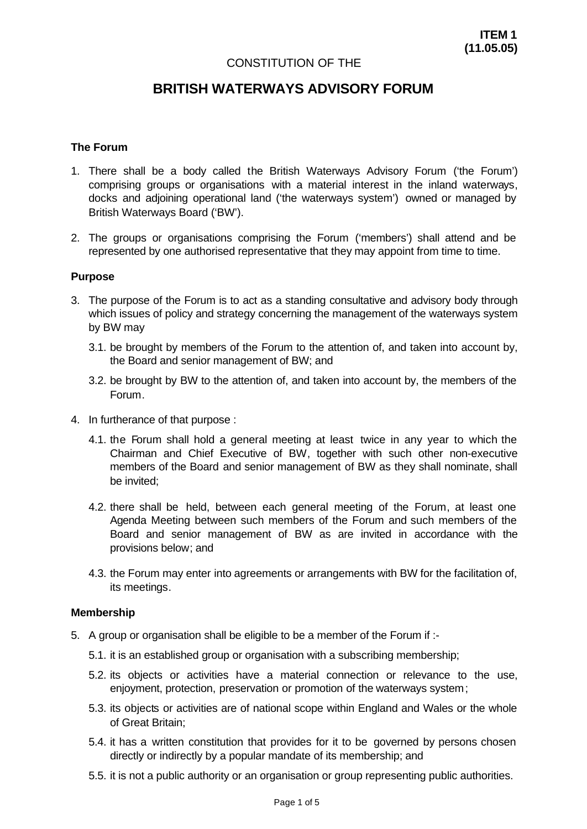## CONSTITUTION OF THE

# **BRITISH WATERWAYS ADVISORY FORUM**

#### **The Forum**

- 1. There shall be a body called the British Waterways Advisory Forum ('the Forum') comprising groups or organisations with a material interest in the inland waterways, docks and adjoining operational land ('the waterways system') owned or managed by British Waterways Board ('BW').
- 2. The groups or organisations comprising the Forum ('members') shall attend and be represented by one authorised representative that they may appoint from time to time.

#### **Purpose**

- 3. The purpose of the Forum is to act as a standing consultative and advisory body through which issues of policy and strategy concerning the management of the waterways system by BW may
	- 3.1. be brought by members of the Forum to the attention of, and taken into account by, the Board and senior management of BW; and
	- 3.2. be brought by BW to the attention of, and taken into account by, the members of the Forum.
- 4. In furtherance of that purpose :
	- 4.1. the Forum shall hold a general meeting at least twice in any year to which the Chairman and Chief Executive of BW, together with such other non-executive members of the Board and senior management of BW as they shall nominate, shall be invited;
	- 4.2. there shall be held, between each general meeting of the Forum, at least one Agenda Meeting between such members of the Forum and such members of the Board and senior management of BW as are invited in accordance with the provisions below; and
	- 4.3. the Forum may enter into agreements or arrangements with BW for the facilitation of, its meetings.

#### **Membership**

- 5. A group or organisation shall be eligible to be a member of the Forum if :-
	- 5.1. it is an established group or organisation with a subscribing membership;
	- 5.2. its objects or activities have a material connection or relevance to the use, enjoyment, protection, preservation or promotion of the waterways system;
	- 5.3. its objects or activities are of national scope within England and Wales or the whole of Great Britain;
	- 5.4. it has a written constitution that provides for it to be governed by persons chosen directly or indirectly by a popular mandate of its membership; and
	- 5.5. it is not a public authority or an organisation or group representing public authorities.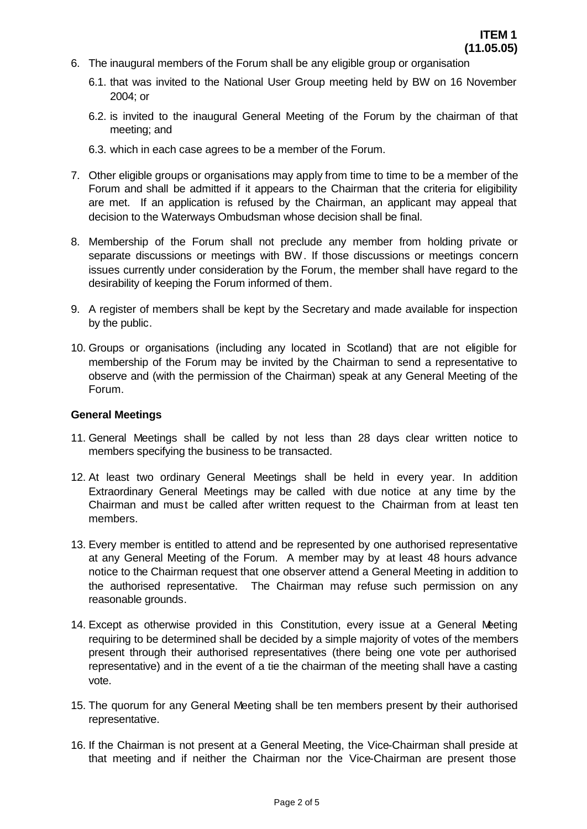- 6. The inaugural members of the Forum shall be any eligible group or organisation
	- 6.1. that was invited to the National User Group meeting held by BW on 16 November 2004; or
	- 6.2. is invited to the inaugural General Meeting of the Forum by the chairman of that meeting; and
	- 6.3. which in each case agrees to be a member of the Forum.
- 7. Other eligible groups or organisations may apply from time to time to be a member of the Forum and shall be admitted if it appears to the Chairman that the criteria for eligibility are met. If an application is refused by the Chairman, an applicant may appeal that decision to the Waterways Ombudsman whose decision shall be final.
- 8. Membership of the Forum shall not preclude any member from holding private or separate discussions or meetings with BW. If those discussions or meetings concern issues currently under consideration by the Forum, the member shall have regard to the desirability of keeping the Forum informed of them.
- 9. A register of members shall be kept by the Secretary and made available for inspection by the public.
- 10. Groups or organisations (including any located in Scotland) that are not eligible for membership of the Forum may be invited by the Chairman to send a representative to observe and (with the permission of the Chairman) speak at any General Meeting of the Forum.

#### **General Meetings**

- 11. General Meetings shall be called by not less than 28 days clear written notice to members specifying the business to be transacted.
- 12. At least two ordinary General Meetings shall be held in every year. In addition Extraordinary General Meetings may be called with due notice at any time by the Chairman and must be called after written request to the Chairman from at least ten members.
- 13. Every member is entitled to attend and be represented by one authorised representative at any General Meeting of the Forum. A member may by at least 48 hours advance notice to the Chairman request that one observer attend a General Meeting in addition to the authorised representative. The Chairman may refuse such permission on any reasonable grounds.
- 14. Except as otherwise provided in this Constitution, every issue at a General Meeting requiring to be determined shall be decided by a simple majority of votes of the members present through their authorised representatives (there being one vote per authorised representative) and in the event of a tie the chairman of the meeting shall have a casting vote.
- 15. The quorum for any General Meeting shall be ten members present by their authorised representative.
- 16. If the Chairman is not present at a General Meeting, the Vice-Chairman shall preside at that meeting and if neither the Chairman nor the Vice-Chairman are present those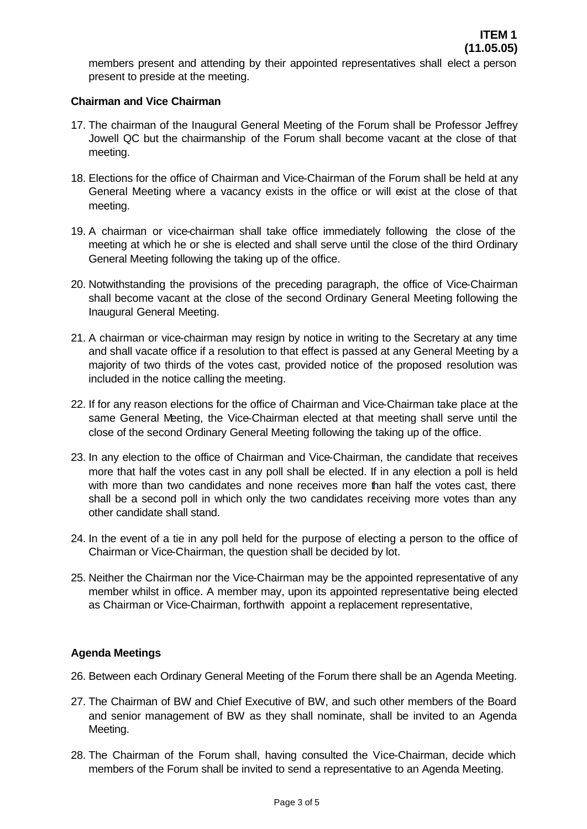members present and attending by their appointed representatives shall elect a person present to preside at the meeting.

# **Chairman and Vice Chairman**

- 17. The chairman of the Inaugural General Meeting of the Forum shall be Professor Jeffrey Jowell QC but the chairmanship of the Forum shall become vacant at the close of that meeting.
- 18. Elections for the office of Chairman and Vice-Chairman of the Forum shall be held at any General Meeting where a vacancy exists in the office or will exist at the close of that meeting.
- 19. A chairman or vice-chairman shall take office immediately following the close of the meeting at which he or she is elected and shall serve until the close of the third Ordinary General Meeting following the taking up of the office.
- 20. Notwithstanding the provisions of the preceding paragraph, the office of Vice-Chairman shall become vacant at the close of the second Ordinary General Meeting following the Inaugural General Meeting.
- 21. A chairman or vice-chairman may resign by notice in writing to the Secretary at any time and shall vacate office if a resolution to that effect is passed at any General Meeting by a majority of two thirds of the votes cast, provided notice of the proposed resolution was included in the notice calling the meeting.
- 22. If for any reason elections for the office of Chairman and Vice-Chairman take place at the same General Meeting, the Vice-Chairman elected at that meeting shall serve until the close of the second Ordinary General Meeting following the taking up of the office.
- 23. In any election to the office of Chairman and Vice-Chairman, the candidate that receives more that half the votes cast in any poll shall be elected. If in any election a poll is held with more than two candidates and none receives more than half the votes cast, there shall be a second poll in which only the two candidates receiving more votes than any other candidate shall stand.
- 24. In the event of a tie in any poll held for the purpose of electing a person to the office of Chairman or Vice-Chairman, the question shall be decided by lot.
- 25. Neither the Chairman nor the Vice-Chairman may be the appointed representative of any member whilst in office. A member may, upon its appointed representative being elected as Chairman or Vice-Chairman, forthwith appoint a replacement representative,

# **Agenda Meetings**

- 26. Between each Ordinary General Meeting of the Forum there shall be an Agenda Meeting.
- 27. The Chairman of BW and Chief Executive of BW, and such other members of the Board and senior management of BW as they shall nominate, shall be invited to an Agenda Meeting.
- 28. The Chairman of the Forum shall, having consulted the Vice-Chairman, decide which members of the Forum shall be invited to send a representative to an Agenda Meeting.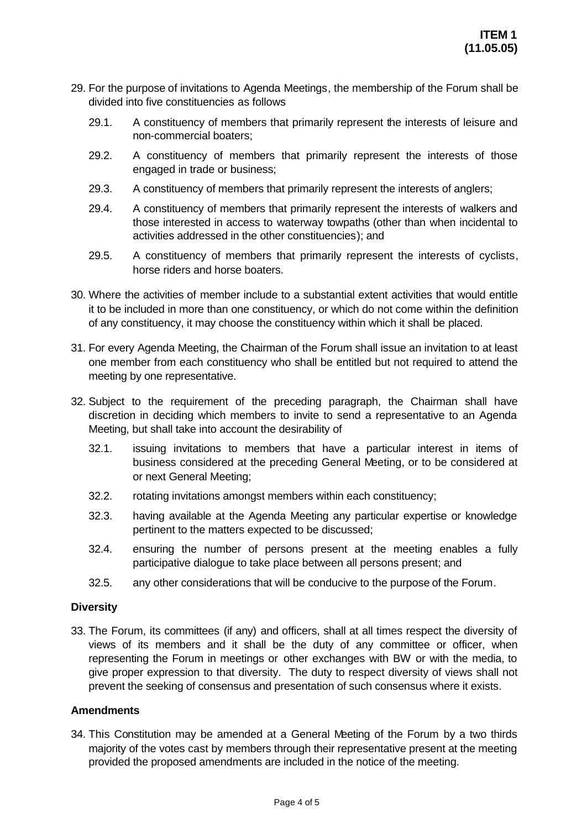- 29. For the purpose of invitations to Agenda Meetings, the membership of the Forum shall be divided into five constituencies as follows
	- 29.1. A constituency of members that primarily represent the interests of leisure and non-commercial boaters;
	- 29.2. A constituency of members that primarily represent the interests of those engaged in trade or business;
	- 29.3. A constituency of members that primarily represent the interests of anglers;
	- 29.4. A constituency of members that primarily represent the interests of walkers and those interested in access to waterway towpaths (other than when incidental to activities addressed in the other constituencies); and
	- 29.5. A constituency of members that primarily represent the interests of cyclists, horse riders and horse boaters.
- 30. Where the activities of member include to a substantial extent activities that would entitle it to be included in more than one constituency, or which do not come within the definition of any constituency, it may choose the constituency within which it shall be placed.
- 31. For every Agenda Meeting, the Chairman of the Forum shall issue an invitation to at least one member from each constituency who shall be entitled but not required to attend the meeting by one representative.
- 32. Subject to the requirement of the preceding paragraph, the Chairman shall have discretion in deciding which members to invite to send a representative to an Agenda Meeting, but shall take into account the desirability of
	- 32.1. issuing invitations to members that have a particular interest in items of business considered at the preceding General Meeting, or to be considered at or next General Meeting;
	- 32.2. rotating invitations amongst members within each constituency;
	- 32.3. having available at the Agenda Meeting any particular expertise or knowledge pertinent to the matters expected to be discussed;
	- 32.4. ensuring the number of persons present at the meeting enables a fully participative dialogue to take place between all persons present; and
	- 32.5. any other considerations that will be conducive to the purpose of the Forum.

# **Diversity**

33. The Forum, its committees (if any) and officers, shall at all times respect the diversity of views of its members and it shall be the duty of any committee or officer, when representing the Forum in meetings or other exchanges with BW or with the media, to give proper expression to that diversity. The duty to respect diversity of views shall not prevent the seeking of consensus and presentation of such consensus where it exists.

# **Amendments**

34. This Constitution may be amended at a General Meeting of the Forum by a two thirds majority of the votes cast by members through their representative present at the meeting provided the proposed amendments are included in the notice of the meeting.